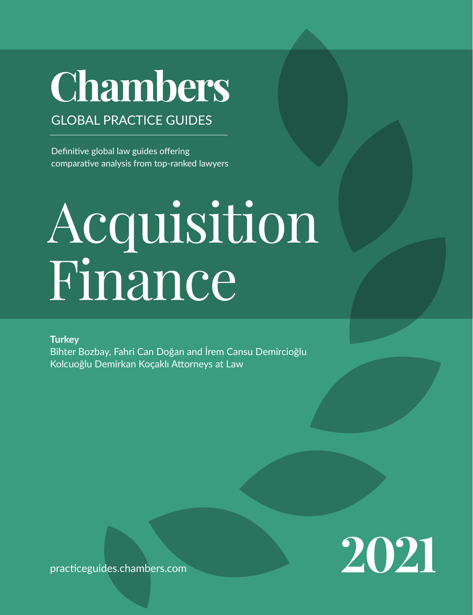## Chambers

GLOBAL PRACTICE GUIDES

Definitive global law guides offering comparative analysis from top-ranked lawyers

# Acquisition Finance

**Turkey**

Bihter Bozbay, Fahri Can Doğan and İrem Cansu Demircioğlu Kolcuoğlu Demirkan Koçaklı Attorneys at Law

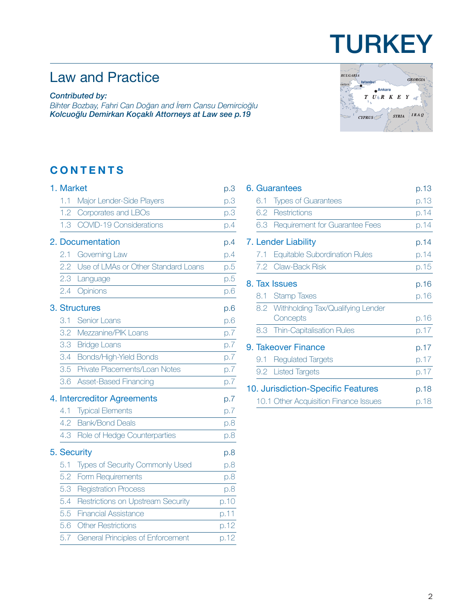## Law and Practice

#### *Contributed by:*

*Bihter Bozbay, Fahri Can Doğan and İrem Cansu Demircioğlu Kolcuoğlu Demirkan Koçaklı Attorneys at Law [see p.19](#page-18-0)*

### **CONTENTS**

| 1. Market        |                                          | p.3  |
|------------------|------------------------------------------|------|
| 1.1              | Major Lender-Side Players                | p.3  |
| 1.2              | Corporates and LBOs                      | p.3  |
| 1.3 <sup>2</sup> | <b>COVID-19 Considerations</b>           | p.4  |
|                  | 2. Documentation                         | p.4  |
| 2.1              | Governing Law                            | p.4  |
| 2.2              | Use of LMAs or Other Standard Loans      | p.5  |
| 2.3              | Language                                 | p.5  |
| 2.4              | Opinions                                 | p.6  |
|                  | 3. Structures                            | p.6  |
| 3.1              | Senior Loans                             | p.6  |
| 3.2              | Mezzanine/PIK Loans                      | p.7  |
| 3.3              | <b>Bridge Loans</b>                      | p.7  |
| 3.4              | Bonds/High-Yield Bonds                   | p.7  |
| 3.5              | Private Placements/Loan Notes            | p.7  |
| 3.6              | Asset-Based Financing                    | p.7  |
|                  | 4. Intercreditor Agreements              | p.7  |
| 4.1              | <b>Typical Elements</b>                  | p.7  |
| 4.2              | <b>Bank/Bond Deals</b>                   | p.8  |
| 4.3              | Role of Hedge Counterparties             | p.8  |
|                  | 5. Security                              | p.8  |
| 5.1              | Types of Security Commonly Used          | p.8  |
| 5.2              | Form Requirements                        | p.8  |
| 5.3              | <b>Registration Process</b>              | p.8  |
| 5.4              | Restrictions on Upstream Security        | p.10 |
| 5.5              | <b>Financial Assistance</b>              | p.11 |
| 5.6              | <b>Other Restrictions</b>                | p.12 |
| 5.7              | <b>General Principles of Enforcement</b> | p.12 |
|                  |                                          |      |



**TURKEY** 

|  |     | 6. Guarantees                         | p.13 |
|--|-----|---------------------------------------|------|
|  | 6.1 | <b>Types of Guarantees</b>            | p.13 |
|  |     | 6.2 Restrictions                      | p.14 |
|  |     | 6.3 Requirement for Guarantee Fees    | p.14 |
|  |     | 7. Lender Liability                   | p.14 |
|  | 7.1 | Equitable Subordination Rules         | p.14 |
|  |     | 7.2 Claw-Back Risk                    | p.15 |
|  |     | 8. Tax Issues                         | p.16 |
|  |     | 8.1 Stamp Taxes                       | p.16 |
|  |     | 8.2 Withholding Tax/Qualifying Lender |      |
|  |     | Concepts                              | p.16 |
|  |     | 8.3 Thin-Capitalisation Rules         | p.17 |
|  |     | 9. Takeover Finance                   | p.17 |
|  | 9.1 | <b>Regulated Targets</b>              | p.17 |
|  |     | 9.2 Listed Targets                    | p.17 |
|  |     | 10. Jurisdiction-Specific Features    | p.18 |
|  |     | 10.1 Other Acquisition Finance Issues | p.18 |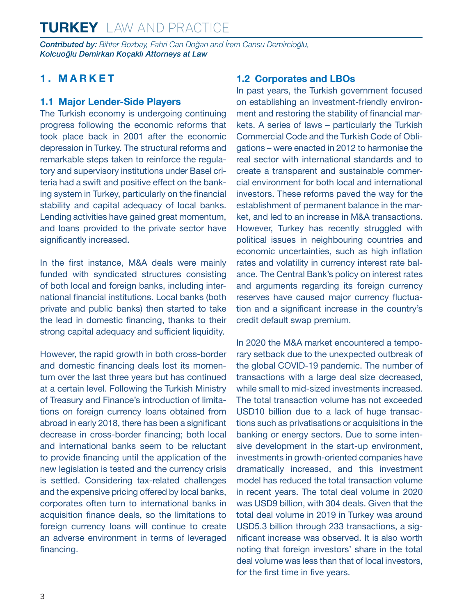<span id="page-2-0"></span>*Contributed by: Bihter Bozbay, Fahri Can Doğan and İrem Cansu Demircioğlu, Kolcuoğlu Demirkan Koçaklı Attorneys at Law* 

#### **1. MARKET**

#### **1.1 Major Lender-Side Players**

The Turkish economy is undergoing continuing progress following the economic reforms that took place back in 2001 after the economic depression in Turkey. The structural reforms and remarkable steps taken to reinforce the regulatory and supervisory institutions under Basel criteria had a swift and positive effect on the banking system in Turkey, particularly on the financial stability and capital adequacy of local banks. Lending activities have gained great momentum, and loans provided to the private sector have significantly increased.

In the first instance, M&A deals were mainly funded with syndicated structures consisting of both local and foreign banks, including international financial institutions. Local banks (both private and public banks) then started to take the lead in domestic financing, thanks to their strong capital adequacy and sufficient liquidity.

However, the rapid growth in both cross-border and domestic financing deals lost its momentum over the last three years but has continued at a certain level. Following the Turkish Ministry of Treasury and Finance's introduction of limitations on foreign currency loans obtained from abroad in early 2018, there has been a significant decrease in cross-border financing; both local and international banks seem to be reluctant to provide financing until the application of the new legislation is tested and the currency crisis is settled. Considering tax-related challenges and the expensive pricing offered by local banks, corporates often turn to international banks in acquisition finance deals, so the limitations to foreign currency loans will continue to create an adverse environment in terms of leveraged financing.

#### **1.2 Corporates and LBOs**

In past years, the Turkish government focused on establishing an investment-friendly environment and restoring the stability of financial markets. A series of laws – particularly the Turkish Commercial Code and the Turkish Code of Obligations – were enacted in 2012 to harmonise the real sector with international standards and to create a transparent and sustainable commercial environment for both local and international investors. These reforms paved the way for the establishment of permanent balance in the market, and led to an increase in M&A transactions. However, Turkey has recently struggled with political issues in neighbouring countries and economic uncertainties, such as high inflation rates and volatility in currency interest rate balance. The Central Bank's policy on interest rates and arguments regarding its foreign currency reserves have caused major currency fluctuation and a significant increase in the country's credit default swap premium.

In 2020 the M&A market encountered a temporary setback due to the unexpected outbreak of the global COVID-19 pandemic. The number of transactions with a large deal size decreased, while small to mid-sized investments increased. The total transaction volume has not exceeded USD10 billion due to a lack of huge transactions such as privatisations or acquisitions in the banking or energy sectors. Due to some intensive development in the start-up environment, investments in growth-oriented companies have dramatically increased, and this investment model has reduced the total transaction volume in recent years. The total deal volume in 2020 was USD9 billion, with 304 deals. Given that the total deal volume in 2019 in Turkey was around USD5.3 billion through 233 transactions, a significant increase was observed. It is also worth noting that foreign investors' share in the total deal volume was less than that of local investors, for the first time in five years.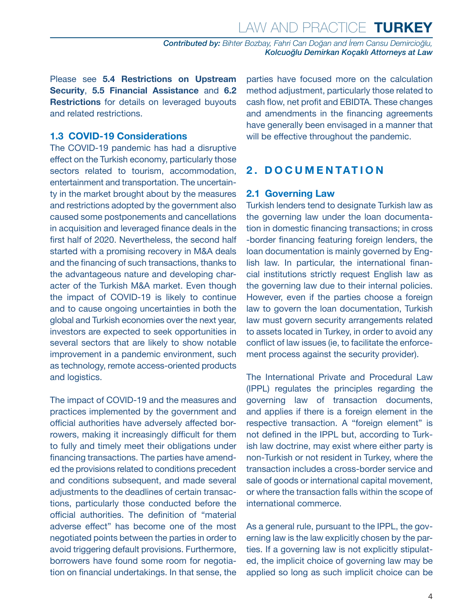<span id="page-3-0"></span>Please see **5.4 Restrictions on Upstream Security**, **5.5 Financial Assistance** and **6.2 Restrictions** for details on leveraged buyouts and related restrictions.

#### **1.3 COVID-19 Considerations**

The COVID-19 pandemic has had a disruptive effect on the Turkish economy, particularly those sectors related to tourism, accommodation, entertainment and transportation. The uncertainty in the market brought about by the measures and restrictions adopted by the government also caused some postponements and cancellations in acquisition and leveraged finance deals in the first half of 2020. Nevertheless, the second half started with a promising recovery in M&A deals and the financing of such transactions, thanks to the advantageous nature and developing character of the Turkish M&A market. Even though the impact of COVID-19 is likely to continue and to cause ongoing uncertainties in both the global and Turkish economies over the next year, investors are expected to seek opportunities in several sectors that are likely to show notable improvement in a pandemic environment, such as technology, remote access-oriented products and logistics.

The impact of COVID-19 and the measures and practices implemented by the government and official authorities have adversely affected borrowers, making it increasingly difficult for them to fully and timely meet their obligations under financing transactions. The parties have amended the provisions related to conditions precedent and conditions subsequent, and made several adjustments to the deadlines of certain transactions, particularly those conducted before the official authorities. The definition of "material adverse effect" has become one of the most negotiated points between the parties in order to avoid triggering default provisions. Furthermore, borrowers have found some room for negotiation on financial undertakings. In that sense, the

parties have focused more on the calculation method adjustment, particularly those related to cash flow, net profit and EBIDTA. These changes and amendments in the financing agreements have generally been envisaged in a manner that will be effective throughout the pandemic.

#### **2. DOCUMENTATION**

#### **2.1 Governing Law**

Turkish lenders tend to designate Turkish law as the governing law under the loan documentation in domestic financing transactions; in cross -border financing featuring foreign lenders, the loan documentation is mainly governed by English law. In particular, the international financial institutions strictly request English law as the governing law due to their internal policies. However, even if the parties choose a foreign law to govern the loan documentation, Turkish law must govern security arrangements related to assets located in Turkey, in order to avoid any conflict of law issues (ie, to facilitate the enforcement process against the security provider).

The International Private and Procedural Law (IPPL) regulates the principles regarding the governing law of transaction documents, and applies if there is a foreign element in the respective transaction. A "foreign element" is not defined in the IPPL but, according to Turkish law doctrine, may exist where either party is non-Turkish or not resident in Turkey, where the transaction includes a cross-border service and sale of goods or international capital movement, or where the transaction falls within the scope of international commerce.

As a general rule, pursuant to the IPPL, the governing law is the law explicitly chosen by the parties. If a governing law is not explicitly stipulated, the implicit choice of governing law may be applied so long as such implicit choice can be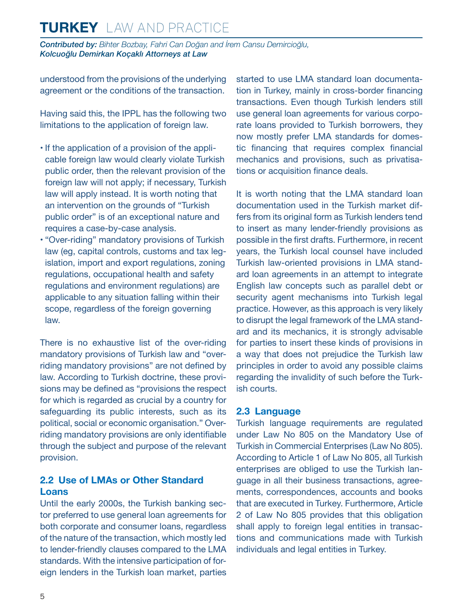<span id="page-4-0"></span>*Contributed by: Bihter Bozbay, Fahri Can Doğan and İrem Cansu Demircioğlu, Kolcuoğlu Demirkan Koçaklı Attorneys at Law* 

understood from the provisions of the underlying agreement or the conditions of the transaction.

Having said this, the IPPL has the following two limitations to the application of foreign law.

- If the application of a provision of the applicable foreign law would clearly violate Turkish public order, then the relevant provision of the foreign law will not apply; if necessary, Turkish law will apply instead. It is worth noting that an intervention on the grounds of "Turkish public order" is of an exceptional nature and requires a case-by-case analysis.
- "Over-riding" mandatory provisions of Turkish law (eg, capital controls, customs and tax legislation, import and export regulations, zoning regulations, occupational health and safety regulations and environment regulations) are applicable to any situation falling within their scope, regardless of the foreign governing law.

There is no exhaustive list of the over-riding mandatory provisions of Turkish law and "overriding mandatory provisions" are not defined by law. According to Turkish doctrine, these provisions may be defined as "provisions the respect for which is regarded as crucial by a country for safeguarding its public interests, such as its political, social or economic organisation." Overriding mandatory provisions are only identifiable through the subject and purpose of the relevant provision.

#### **2.2 Use of LMAs or Other Standard Loans**

Until the early 2000s, the Turkish banking sector preferred to use general loan agreements for both corporate and consumer loans, regardless of the nature of the transaction, which mostly led to lender-friendly clauses compared to the LMA standards. With the intensive participation of foreign lenders in the Turkish loan market, parties started to use LMA standard loan documentation in Turkey, mainly in cross-border financing transactions. Even though Turkish lenders still use general loan agreements for various corporate loans provided to Turkish borrowers, they now mostly prefer LMA standards for domestic financing that requires complex financial mechanics and provisions, such as privatisations or acquisition finance deals.

It is worth noting that the LMA standard loan documentation used in the Turkish market differs from its original form as Turkish lenders tend to insert as many lender-friendly provisions as possible in the first drafts. Furthermore, in recent years, the Turkish local counsel have included Turkish law-oriented provisions in LMA standard loan agreements in an attempt to integrate English law concepts such as parallel debt or security agent mechanisms into Turkish legal practice. However, as this approach is very likely to disrupt the legal framework of the LMA standard and its mechanics, it is strongly advisable for parties to insert these kinds of provisions in a way that does not prejudice the Turkish law principles in order to avoid any possible claims regarding the invalidity of such before the Turkish courts.

#### **2.3 Language**

Turkish language requirements are regulated under Law No 805 on the Mandatory Use of Turkish in Commercial Enterprises (Law No 805). According to Article 1 of Law No 805, all Turkish enterprises are obliged to use the Turkish language in all their business transactions, agreements, correspondences, accounts and books that are executed in Turkey. Furthermore, Article 2 of Law No 805 provides that this obligation shall apply to foreign legal entities in transactions and communications made with Turkish individuals and legal entities in Turkey.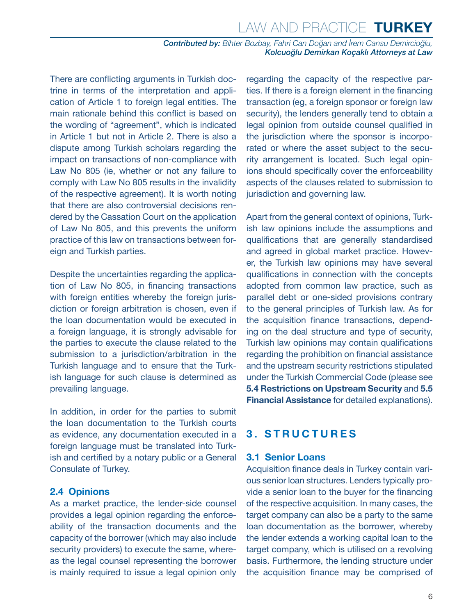<span id="page-5-0"></span>There are conflicting arguments in Turkish doctrine in terms of the interpretation and application of Article 1 to foreign legal entities. The main rationale behind this conflict is based on the wording of "agreement", which is indicated in Article 1 but not in Article 2. There is also a dispute among Turkish scholars regarding the impact on transactions of non-compliance with Law No 805 (ie, whether or not any failure to comply with Law No 805 results in the invalidity of the respective agreement). It is worth noting that there are also controversial decisions rendered by the Cassation Court on the application of Law No 805, and this prevents the uniform practice of this law on transactions between foreign and Turkish parties.

Despite the uncertainties regarding the application of Law No 805, in financing transactions with foreign entities whereby the foreign jurisdiction or foreign arbitration is chosen, even if the loan documentation would be executed in a foreign language, it is strongly advisable for the parties to execute the clause related to the submission to a jurisdiction/arbitration in the Turkish language and to ensure that the Turkish language for such clause is determined as prevailing language.

In addition, in order for the parties to submit the loan documentation to the Turkish courts as evidence, any documentation executed in a foreign language must be translated into Turkish and certified by a notary public or a General Consulate of Turkey.

#### **2.4 Opinions**

As a market practice, the lender-side counsel provides a legal opinion regarding the enforceability of the transaction documents and the capacity of the borrower (which may also include security providers) to execute the same, whereas the legal counsel representing the borrower is mainly required to issue a legal opinion only regarding the capacity of the respective parties. If there is a foreign element in the financing transaction (eg, a foreign sponsor or foreign law security), the lenders generally tend to obtain a legal opinion from outside counsel qualified in the jurisdiction where the sponsor is incorporated or where the asset subject to the security arrangement is located. Such legal opinions should specifically cover the enforceability aspects of the clauses related to submission to jurisdiction and governing law.

Apart from the general context of opinions, Turkish law opinions include the assumptions and qualifications that are generally standardised and agreed in global market practice. However, the Turkish law opinions may have several qualifications in connection with the concepts adopted from common law practice, such as parallel debt or one-sided provisions contrary to the general principles of Turkish law. As for the acquisition finance transactions, depending on the deal structure and type of security, Turkish law opinions may contain qualifications regarding the prohibition on financial assistance and the upstream security restrictions stipulated under the Turkish Commercial Code (please see **5.4 Restrictions on Upstream Security** and **5.5 Financial Assistance** for detailed explanations).

#### **3. STRUCTURES**

#### **3.1 Senior Loans**

Acquisition finance deals in Turkey contain various senior loan structures. Lenders typically provide a senior loan to the buyer for the financing of the respective acquisition. In many cases, the target company can also be a party to the same loan documentation as the borrower, whereby the lender extends a working capital loan to the target company, which is utilised on a revolving basis. Furthermore, the lending structure under the acquisition finance may be comprised of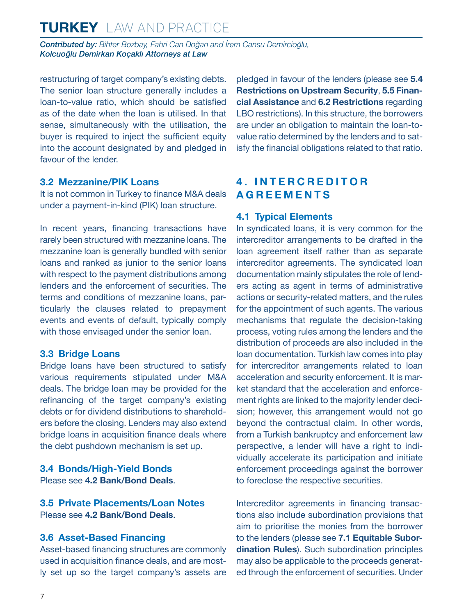<span id="page-6-0"></span>*Contributed by: Bihter Bozbay, Fahri Can Doğan and İrem Cansu Demircioğlu, Kolcuoğlu Demirkan Koçaklı Attorneys at Law* 

restructuring of target company's existing debts. The senior loan structure generally includes a loan-to-value ratio, which should be satisfied as of the date when the loan is utilised. In that sense, simultaneously with the utilisation, the buyer is required to inject the sufficient equity into the account designated by and pledged in favour of the lender.

#### **3.2 Mezzanine/PIK Loans**

It is not common in Turkey to finance M&A deals under a payment-in-kind (PIK) loan structure.

In recent years, financing transactions have rarely been structured with mezzanine loans. The mezzanine loan is generally bundled with senior loans and ranked as junior to the senior loans with respect to the payment distributions among lenders and the enforcement of securities. The terms and conditions of mezzanine loans, particularly the clauses related to prepayment events and events of default, typically comply with those envisaged under the senior loan.

#### **3.3 Bridge Loans**

Bridge loans have been structured to satisfy various requirements stipulated under M&A deals. The bridge loan may be provided for the refinancing of the target company's existing debts or for dividend distributions to shareholders before the closing. Lenders may also extend bridge loans in acquisition finance deals where the debt pushdown mechanism is set up.

**3.4 Bonds/High-Yield Bonds** Please see **4.2 Bank/Bond Deals**.

**3.5 Private Placements/Loan Notes** Please see **4.2 Bank/Bond Deals**.

#### **3.6 Asset-Based Financing**

Asset-based financing structures are commonly used in acquisition finance deals, and are mostly set up so the target company's assets are pledged in favour of the lenders (please see **5.4 Restrictions on Upstream Security**, **5.5 Financial Assistance** and **6.2 Restrictions** regarding LBO restrictions). In this structure, the borrowers are under an obligation to maintain the loan-tovalue ratio determined by the lenders and to satisfy the financial obligations related to that ratio.

#### **4 . I N T E R C R E D I T O R AGREEMENTS**

#### **4.1 Typical Elements**

In syndicated loans, it is very common for the intercreditor arrangements to be drafted in the loan agreement itself rather than as separate intercreditor agreements. The syndicated loan documentation mainly stipulates the role of lenders acting as agent in terms of administrative actions or security-related matters, and the rules for the appointment of such agents. The various mechanisms that regulate the decision-taking process, voting rules among the lenders and the distribution of proceeds are also included in the loan documentation. Turkish law comes into play for intercreditor arrangements related to loan acceleration and security enforcement. It is market standard that the acceleration and enforcement rights are linked to the majority lender decision; however, this arrangement would not go beyond the contractual claim. In other words, from a Turkish bankruptcy and enforcement law perspective, a lender will have a right to individually accelerate its participation and initiate enforcement proceedings against the borrower to foreclose the respective securities.

Intercreditor agreements in financing transactions also include subordination provisions that aim to prioritise the monies from the borrower to the lenders (please see **7.1 Equitable Subordination Rules**). Such subordination principles may also be applicable to the proceeds generated through the enforcement of securities. Under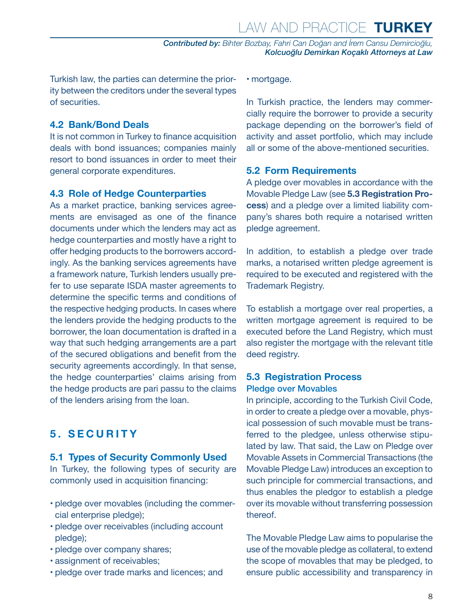<span id="page-7-0"></span>Turkish law, the parties can determine the priority between the creditors under the several types of securities.

#### **4.2 Bank/Bond Deals**

It is not common in Turkey to finance acquisition deals with bond issuances; companies mainly resort to bond issuances in order to meet their general corporate expenditures.

#### **4.3 Role of Hedge Counterparties**

As a market practice, banking services agreements are envisaged as one of the finance documents under which the lenders may act as hedge counterparties and mostly have a right to offer hedging products to the borrowers accordingly. As the banking services agreements have a framework nature, Turkish lenders usually prefer to use separate ISDA master agreements to determine the specific terms and conditions of the respective hedging products. In cases where the lenders provide the hedging products to the borrower, the loan documentation is drafted in a way that such hedging arrangements are a part of the secured obligations and benefit from the security agreements accordingly. In that sense, the hedge counterparties' claims arising from the hedge products are pari passu to the claims of the lenders arising from the loan.

#### **5. SECURITY**

#### **5.1 Types of Security Commonly Used**

In Turkey, the following types of security are commonly used in acquisition financing:

- pledge over movables (including the commercial enterprise pledge);
- pledge over receivables (including account pledge);
- pledge over company shares;
- assignment of receivables;
- pledge over trade marks and licences; and

• mortgage.

In Turkish practice, the lenders may commercially require the borrower to provide a security package depending on the borrower's field of activity and asset portfolio, which may include all or some of the above-mentioned securities.

#### **5.2 Form Requirements**

A pledge over movables in accordance with the Movable Pledge Law (see **5.3 Registration Process**) and a pledge over a limited liability company's shares both require a notarised written pledge agreement.

In addition, to establish a pledge over trade marks, a notarised written pledge agreement is required to be executed and registered with the Trademark Registry.

To establish a mortgage over real properties, a written mortgage agreement is required to be executed before the Land Registry, which must also register the mortgage with the relevant title deed registry.

#### **5.3 Registration Process** Pledge over Movables

In principle, according to the Turkish Civil Code, in order to create a pledge over a movable, physical possession of such movable must be transferred to the pledgee, unless otherwise stipulated by law. That said, the Law on Pledge over Movable Assets in Commercial Transactions (the Movable Pledge Law) introduces an exception to such principle for commercial transactions, and thus enables the pledgor to establish a pledge over its movable without transferring possession thereof.

The Movable Pledge Law aims to popularise the use of the movable pledge as collateral, to extend the scope of movables that may be pledged, to ensure public accessibility and transparency in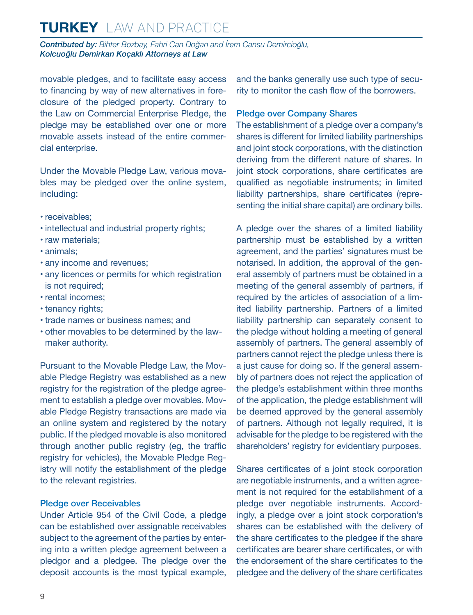*Contributed by: Bihter Bozbay, Fahri Can Doğan and İrem Cansu Demircioğlu, Kolcuoğlu Demirkan Koçaklı Attorneys at Law* 

movable pledges, and to facilitate easy access to financing by way of new alternatives in foreclosure of the pledged property. Contrary to the Law on Commercial Enterprise Pledge, the pledge may be established over one or more movable assets instead of the entire commercial enterprise.

Under the Movable Pledge Law, various movables may be pledged over the online system, including:

- receivables;
- intellectual and industrial property rights;
- raw materials;
- animals;
- any income and revenues;
- any licences or permits for which registration is not required;
- rental incomes;
- tenancy rights;
- trade names or business names; and
- other movables to be determined by the lawmaker authority.

Pursuant to the Movable Pledge Law, the Movable Pledge Registry was established as a new registry for the registration of the pledge agreement to establish a pledge over movables. Movable Pledge Registry transactions are made via an online system and registered by the notary public. If the pledged movable is also monitored through another public registry (eg, the traffic registry for vehicles), the Movable Pledge Registry will notify the establishment of the pledge to the relevant registries.

#### Pledge over Receivables

Under Article 954 of the Civil Code, a pledge can be established over assignable receivables subject to the agreement of the parties by entering into a written pledge agreement between a pledgor and a pledgee. The pledge over the deposit accounts is the most typical example, and the banks generally use such type of security to monitor the cash flow of the borrowers.

#### Pledge over Company Shares

The establishment of a pledge over a company's shares is different for limited liability partnerships and joint stock corporations, with the distinction deriving from the different nature of shares. In joint stock corporations, share certificates are qualified as negotiable instruments; in limited liability partnerships, share certificates (representing the initial share capital) are ordinary bills.

A pledge over the shares of a limited liability partnership must be established by a written agreement, and the parties' signatures must be notarised. In addition, the approval of the general assembly of partners must be obtained in a meeting of the general assembly of partners, if required by the articles of association of a limited liability partnership. Partners of a limited liability partnership can separately consent to the pledge without holding a meeting of general assembly of partners. The general assembly of partners cannot reject the pledge unless there is a just cause for doing so. If the general assembly of partners does not reject the application of the pledge's establishment within three months of the application, the pledge establishment will be deemed approved by the general assembly of partners. Although not legally required, it is advisable for the pledge to be registered with the shareholders' registry for evidentiary purposes.

Shares certificates of a joint stock corporation are negotiable instruments, and a written agreement is not required for the establishment of a pledge over negotiable instruments. Accordingly, a pledge over a joint stock corporation's shares can be established with the delivery of the share certificates to the pledgee if the share certificates are bearer share certificates, or with the endorsement of the share certificates to the pledgee and the delivery of the share certificates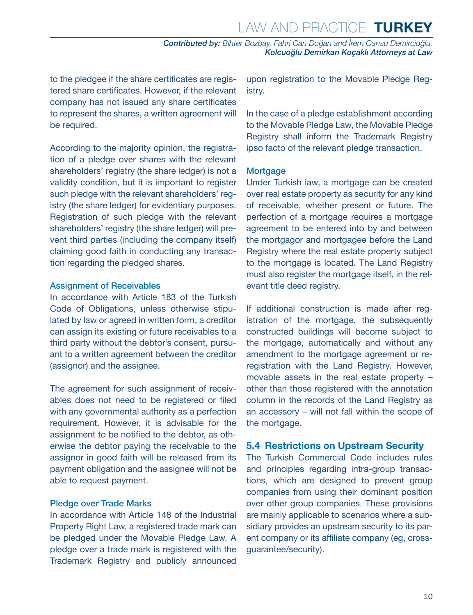<span id="page-9-0"></span>to the pledgee if the share certificates are registered share certificates. However, if the relevant company has not issued any share certificates to represent the shares, a written agreement will be required.

According to the majority opinion, the registration of a pledge over shares with the relevant shareholders' registry (the share ledger) is not a validity condition, but it is important to register such pledge with the relevant shareholders' registry (the share ledger) for evidentiary purposes. Registration of such pledge with the relevant shareholders' registry (the share ledger) will prevent third parties (including the company itself) claiming good faith in conducting any transaction regarding the pledged shares.

#### Assignment of Receivables

In accordance with Article 183 of the Turkish Code of Obligations, unless otherwise stipulated by law or agreed in written form, a creditor can assign its existing or future receivables to a third party without the debtor's consent, pursuant to a written agreement between the creditor (assignor) and the assignee.

The agreement for such assignment of receivables does not need to be registered or filed with any governmental authority as a perfection requirement. However, it is advisable for the assignment to be notified to the debtor, as otherwise the debtor paying the receivable to the assignor in good faith will be released from its payment obligation and the assignee will not be able to request payment.

#### Pledge over Trade Marks

In accordance with Article 148 of the Industrial Property Right Law, a registered trade mark can be pledged under the Movable Pledge Law. A pledge over a trade mark is registered with the Trademark Registry and publicly announced upon registration to the Movable Pledge Registry.

In the case of a pledge establishment according to the Movable Pledge Law, the Movable Pledge Registry shall inform the Trademark Registry ipso facto of the relevant pledge transaction.

#### **Mortgage**

Under Turkish law, a mortgage can be created over real estate property as security for any kind of receivable, whether present or future. The perfection of a mortgage requires a mortgage agreement to be entered into by and between the mortgagor and mortgagee before the Land Registry where the real estate property subject to the mortgage is located. The Land Registry must also register the mortgage itself, in the relevant title deed registry.

If additional construction is made after registration of the mortgage, the subsequently constructed buildings will become subject to the mortgage, automatically and without any amendment to the mortgage agreement or reregistration with the Land Registry. However, movable assets in the real estate property – other than those registered with the annotation column in the records of the Land Registry as an accessory – will not fall within the scope of the mortgage.

#### **5.4 Restrictions on Upstream Security**

The Turkish Commercial Code includes rules and principles regarding intra-group transactions, which are designed to prevent group companies from using their dominant position over other group companies. These provisions are mainly applicable to scenarios where a subsidiary provides an upstream security to its parent company or its affiliate company (eg, crossguarantee/security).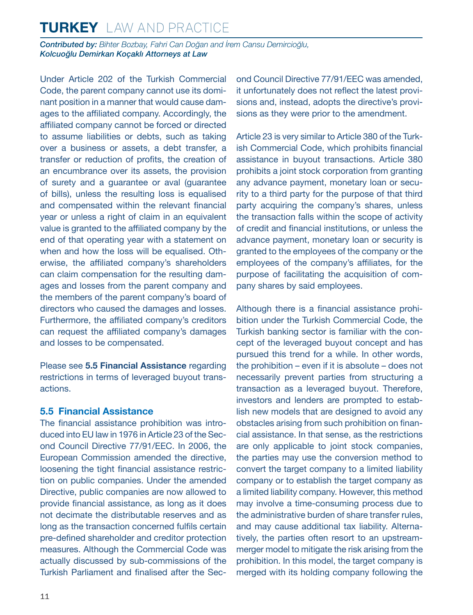<span id="page-10-0"></span>*Contributed by: Bihter Bozbay, Fahri Can Doğan and İrem Cansu Demircioğlu, Kolcuoğlu Demirkan Koçaklı Attorneys at Law* 

Under Article 202 of the Turkish Commercial Code, the parent company cannot use its dominant position in a manner that would cause damages to the affiliated company. Accordingly, the affiliated company cannot be forced or directed to assume liabilities or debts, such as taking over a business or assets, a debt transfer, a transfer or reduction of profits, the creation of an encumbrance over its assets, the provision of surety and a guarantee or aval (guarantee of bills), unless the resulting loss is equalised and compensated within the relevant financial year or unless a right of claim in an equivalent value is granted to the affiliated company by the end of that operating year with a statement on when and how the loss will be equalised. Otherwise, the affiliated company's shareholders can claim compensation for the resulting damages and losses from the parent company and the members of the parent company's board of directors who caused the damages and losses. Furthermore, the affiliated company's creditors can request the affiliated company's damages and losses to be compensated.

Please see **5.5 Financial Assistance** regarding restrictions in terms of leveraged buyout transactions.

#### **5.5 Financial Assistance**

The financial assistance prohibition was introduced into EU law in 1976 in Article 23 of the Second Council Directive 77/91/EEC. In 2006, the European Commission amended the directive, loosening the tight financial assistance restriction on public companies. Under the amended Directive, public companies are now allowed to provide financial assistance, as long as it does not decimate the distributable reserves and as long as the transaction concerned fulfils certain pre-defined shareholder and creditor protection measures. Although the Commercial Code was actually discussed by sub-commissions of the Turkish Parliament and finalised after the Second Council Directive 77/91/EEC was amended, it unfortunately does not reflect the latest provisions and, instead, adopts the directive's provisions as they were prior to the amendment.

Article 23 is very similar to Article 380 of the Turkish Commercial Code, which prohibits financial assistance in buyout transactions. Article 380 prohibits a joint stock corporation from granting any advance payment, monetary loan or security to a third party for the purpose of that third party acquiring the company's shares, unless the transaction falls within the scope of activity of credit and financial institutions, or unless the advance payment, monetary loan or security is granted to the employees of the company or the employees of the company's affiliates, for the purpose of facilitating the acquisition of company shares by said employees.

Although there is a financial assistance prohibition under the Turkish Commercial Code, the Turkish banking sector is familiar with the concept of the leveraged buyout concept and has pursued this trend for a while. In other words, the prohibition – even if it is absolute – does not necessarily prevent parties from structuring a transaction as a leveraged buyout. Therefore, investors and lenders are prompted to establish new models that are designed to avoid any obstacles arising from such prohibition on financial assistance. In that sense, as the restrictions are only applicable to joint stock companies, the parties may use the conversion method to convert the target company to a limited liability company or to establish the target company as a limited liability company. However, this method may involve a time-consuming process due to the administrative burden of share transfer rules, and may cause additional tax liability. Alternatively, the parties often resort to an upstreammerger model to mitigate the risk arising from the prohibition. In this model, the target company is merged with its holding company following the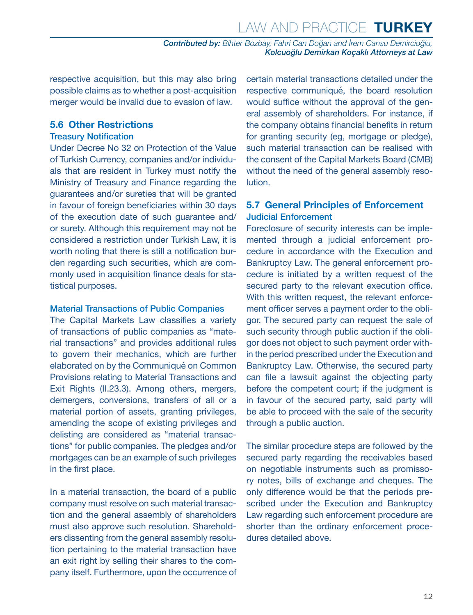<span id="page-11-0"></span>respective acquisition, but this may also bring possible claims as to whether a post-acquisition merger would be invalid due to evasion of law.

#### **5.6 Other Restrictions**

#### Treasury Notification

Under Decree No 32 on Protection of the Value of Turkish Currency, companies and/or individuals that are resident in Turkey must notify the Ministry of Treasury and Finance regarding the guarantees and/or sureties that will be granted in favour of foreign beneficiaries within 30 days of the execution date of such guarantee and/ or surety. Although this requirement may not be considered a restriction under Turkish Law, it is worth noting that there is still a notification burden regarding such securities, which are commonly used in acquisition finance deals for statistical purposes.

#### Material Transactions of Public Companies

The Capital Markets Law classifies a variety of transactions of public companies as "material transactions" and provides additional rules to govern their mechanics, which are further elaborated on by the Communiqué on Common Provisions relating to Material Transactions and Exit Rights (II.23.3). Among others, mergers, demergers, conversions, transfers of all or a material portion of assets, granting privileges, amending the scope of existing privileges and delisting are considered as "material transactions" for public companies. The pledges and/or mortgages can be an example of such privileges in the first place.

In a material transaction, the board of a public company must resolve on such material transaction and the general assembly of shareholders must also approve such resolution. Shareholders dissenting from the general assembly resolution pertaining to the material transaction have an exit right by selling their shares to the company itself. Furthermore, upon the occurrence of certain material transactions detailed under the respective communiqué, the board resolution would suffice without the approval of the general assembly of shareholders. For instance, if the company obtains financial benefits in return for granting security (eg, mortgage or pledge), such material transaction can be realised with the consent of the Capital Markets Board (CMB) without the need of the general assembly resolution.

#### **5.7 General Principles of Enforcement** Judicial Enforcement

Foreclosure of security interests can be implemented through a judicial enforcement procedure in accordance with the Execution and Bankruptcy Law. The general enforcement procedure is initiated by a written request of the secured party to the relevant execution office. With this written request, the relevant enforcement officer serves a payment order to the obligor. The secured party can request the sale of such security through public auction if the obligor does not object to such payment order within the period prescribed under the Execution and Bankruptcy Law. Otherwise, the secured party can file a lawsuit against the objecting party before the competent court; if the judgment is in favour of the secured party, said party will be able to proceed with the sale of the security through a public auction.

The similar procedure steps are followed by the secured party regarding the receivables based on negotiable instruments such as promissory notes, bills of exchange and cheques. The only difference would be that the periods prescribed under the Execution and Bankruptcy Law regarding such enforcement procedure are shorter than the ordinary enforcement procedures detailed above.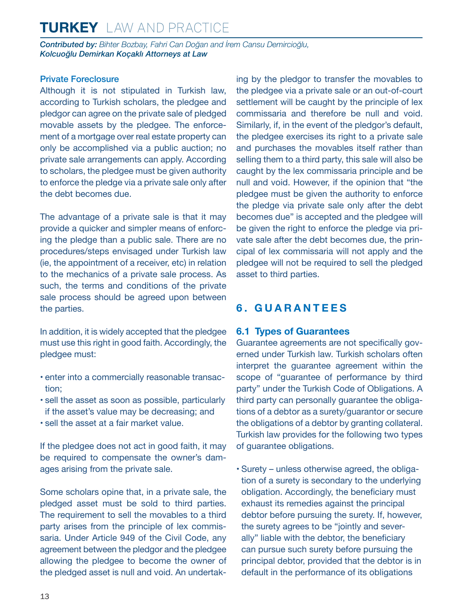<span id="page-12-0"></span>*Contributed by: Bihter Bozbay, Fahri Can Doğan and İrem Cansu Demircioğlu, Kolcuoğlu Demirkan Koçaklı Attorneys at Law* 

#### Private Foreclosure

Although it is not stipulated in Turkish law, according to Turkish scholars, the pledgee and pledgor can agree on the private sale of pledged movable assets by the pledgee. The enforcement of a mortgage over real estate property can only be accomplished via a public auction; no private sale arrangements can apply. According to scholars, the pledgee must be given authority to enforce the pledge via a private sale only after the debt becomes due.

The advantage of a private sale is that it may provide a quicker and simpler means of enforcing the pledge than a public sale. There are no procedures/steps envisaged under Turkish law (ie, the appointment of a receiver, etc) in relation to the mechanics of a private sale process. As such, the terms and conditions of the private sale process should be agreed upon between the parties.

In addition, it is widely accepted that the pledgee must use this right in good faith. Accordingly, the pledgee must:

- enter into a commercially reasonable transaction;
- sell the asset as soon as possible, particularly if the asset's value may be decreasing; and
- sell the asset at a fair market value.

If the pledgee does not act in good faith, it may be required to compensate the owner's damages arising from the private sale.

Some scholars opine that, in a private sale, the pledged asset must be sold to third parties. The requirement to sell the movables to a third party arises from the principle of lex commissaria. Under Article 949 of the Civil Code, any agreement between the pledgor and the pledgee allowing the pledgee to become the owner of the pledged asset is null and void. An undertaking by the pledgor to transfer the movables to the pledgee via a private sale or an out-of-court settlement will be caught by the principle of lex commissaria and therefore be null and void. Similarly, if, in the event of the pledgor's default, the pledgee exercises its right to a private sale and purchases the movables itself rather than selling them to a third party, this sale will also be caught by the lex commissaria principle and be null and void. However, if the opinion that "the pledgee must be given the authority to enforce the pledge via private sale only after the debt becomes due" is accepted and the pledgee will be given the right to enforce the pledge via private sale after the debt becomes due, the principal of lex commissaria will not apply and the pledgee will not be required to sell the pledged asset to third parties.

#### **6. GUARANTEES**

#### **6.1 Types of Guarantees**

Guarantee agreements are not specifically governed under Turkish law. Turkish scholars often interpret the guarantee agreement within the scope of "guarantee of performance by third party" under the Turkish Code of Obligations. A third party can personally guarantee the obligations of a debtor as a surety/guarantor or secure the obligations of a debtor by granting collateral. Turkish law provides for the following two types of guarantee obligations.

• Surety – unless otherwise agreed, the obligation of a surety is secondary to the underlying obligation. Accordingly, the beneficiary must exhaust its remedies against the principal debtor before pursuing the surety. If, however, the surety agrees to be "jointly and severally" liable with the debtor, the beneficiary can pursue such surety before pursuing the principal debtor, provided that the debtor is in default in the performance of its obligations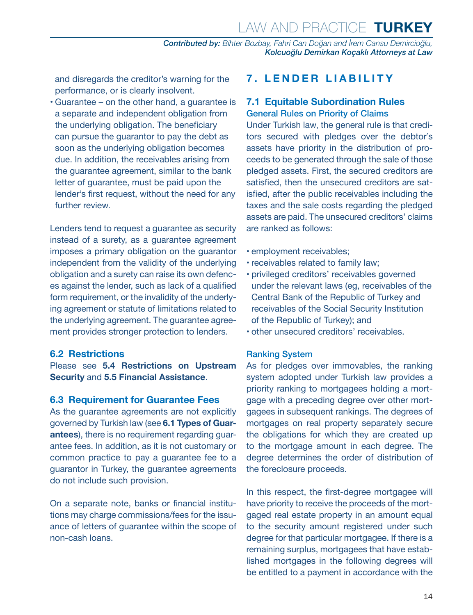Law and Practice **TURKEY**

*Contributed by: Bihter Bozbay, Fahri Can Doğan and İrem Cansu Demircioğlu, Kolcuoğlu Demirkan Koçaklı Attorneys at Law* 

<span id="page-13-0"></span>and disregards the creditor's warning for the performance, or is clearly insolvent.

• Guarantee – on the other hand, a guarantee is a separate and independent obligation from the underlying obligation. The beneficiary can pursue the guarantor to pay the debt as soon as the underlying obligation becomes due. In addition, the receivables arising from the guarantee agreement, similar to the bank letter of guarantee, must be paid upon the lender's first request, without the need for any further review.

Lenders tend to request a guarantee as security instead of a surety, as a guarantee agreement imposes a primary obligation on the guarantor independent from the validity of the underlying obligation and a surety can raise its own defences against the lender, such as lack of a qualified form requirement, or the invalidity of the underlying agreement or statute of limitations related to the underlying agreement. The guarantee agreement provides stronger protection to lenders.

#### **6.2 Restrictions**

Please see **5.4 Restrictions on Upstream Security** and **5.5 Financial Assistance**.

#### **6.3 Requirement for Guarantee Fees**

As the guarantee agreements are not explicitly governed by Turkish law (see **6.1 Types of Guarantees**), there is no requirement regarding guarantee fees. In addition, as it is not customary or common practice to pay a guarantee fee to a guarantor in Turkey, the guarantee agreements do not include such provision.

On a separate note, banks or financial institutions may charge commissions/fees for the issuance of letters of guarantee within the scope of non-cash loans.

#### **7. LENDER LIABILITY**

#### **7.1 Equitable Subordination Rules** General Rules on Priority of Claims

Under Turkish law, the general rule is that creditors secured with pledges over the debtor's assets have priority in the distribution of proceeds to be generated through the sale of those pledged assets. First, the secured creditors are satisfied, then the unsecured creditors are satisfied, after the public receivables including the taxes and the sale costs regarding the pledged assets are paid. The unsecured creditors' claims are ranked as follows:

- employment receivables;
- receivables related to family law;
- privileged creditors' receivables governed under the relevant laws (eg, receivables of the Central Bank of the Republic of Turkey and receivables of the Social Security Institution of the Republic of Turkey); and
- other unsecured creditors' receivables.

#### Ranking System

As for pledges over immovables, the ranking system adopted under Turkish law provides a priority ranking to mortgagees holding a mortgage with a preceding degree over other mortgagees in subsequent rankings. The degrees of mortgages on real property separately secure the obligations for which they are created up to the mortgage amount in each degree. The degree determines the order of distribution of the foreclosure proceeds.

In this respect, the first-degree mortgagee will have priority to receive the proceeds of the mortgaged real estate property in an amount equal to the security amount registered under such degree for that particular mortgagee. If there is a remaining surplus, mortgagees that have established mortgages in the following degrees will be entitled to a payment in accordance with the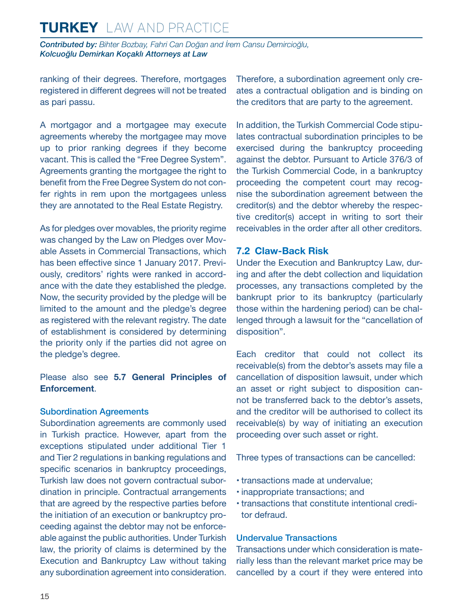<span id="page-14-0"></span>*Contributed by: Bihter Bozbay, Fahri Can Doğan and İrem Cansu Demircioğlu, Kolcuoğlu Demirkan Koçaklı Attorneys at Law* 

ranking of their degrees. Therefore, mortgages registered in different degrees will not be treated as pari passu.

A mortgagor and a mortgagee may execute agreements whereby the mortgagee may move up to prior ranking degrees if they become vacant. This is called the "Free Degree System". Agreements granting the mortgagee the right to benefit from the Free Degree System do not confer rights in rem upon the mortgagees unless they are annotated to the Real Estate Registry.

As for pledges over movables, the priority regime was changed by the Law on Pledges over Movable Assets in Commercial Transactions, which has been effective since 1 January 2017. Previously, creditors' rights were ranked in accordance with the date they established the pledge. Now, the security provided by the pledge will be limited to the amount and the pledge's degree as registered with the relevant registry. The date of establishment is considered by determining the priority only if the parties did not agree on the pledge's degree.

Please also see **5.7 General Principles of Enforcement**.

#### Subordination Agreements

Subordination agreements are commonly used in Turkish practice. However, apart from the exceptions stipulated under additional Tier 1 and Tier 2 regulations in banking regulations and specific scenarios in bankruptcy proceedings, Turkish law does not govern contractual subordination in principle. Contractual arrangements that are agreed by the respective parties before the initiation of an execution or bankruptcy proceeding against the debtor may not be enforceable against the public authorities. Under Turkish law, the priority of claims is determined by the Execution and Bankruptcy Law without taking any subordination agreement into consideration. Therefore, a subordination agreement only creates a contractual obligation and is binding on the creditors that are party to the agreement.

In addition, the Turkish Commercial Code stipulates contractual subordination principles to be exercised during the bankruptcy proceeding against the debtor. Pursuant to Article 376/3 of the Turkish Commercial Code, in a bankruptcy proceeding the competent court may recognise the subordination agreement between the creditor(s) and the debtor whereby the respective creditor(s) accept in writing to sort their receivables in the order after all other creditors.

#### **7.2 Claw-Back Risk**

Under the Execution and Bankruptcy Law, during and after the debt collection and liquidation processes, any transactions completed by the bankrupt prior to its bankruptcy (particularly those within the hardening period) can be challenged through a lawsuit for the "cancellation of disposition".

Each creditor that could not collect its receivable(s) from the debtor's assets may file a cancellation of disposition lawsuit, under which an asset or right subject to disposition cannot be transferred back to the debtor's assets, and the creditor will be authorised to collect its receivable(s) by way of initiating an execution proceeding over such asset or right.

Three types of transactions can be cancelled:

- transactions made at undervalue;
- inappropriate transactions; and
- transactions that constitute intentional creditor defraud.

#### Undervalue Transactions

Transactions under which consideration is materially less than the relevant market price may be cancelled by a court if they were entered into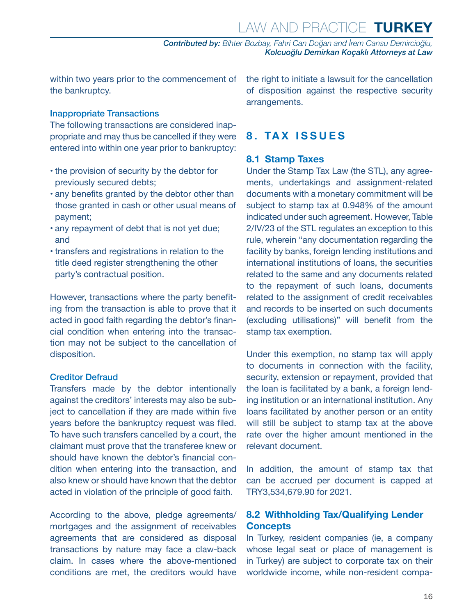<span id="page-15-0"></span>within two years prior to the commencement of the bankruptcy.

#### Inappropriate Transactions

The following transactions are considered inappropriate and may thus be cancelled if they were entered into within one year prior to bankruptcy:

- the provision of security by the debtor for previously secured debts;
- any benefits granted by the debtor other than those granted in cash or other usual means of payment;
- any repayment of debt that is not yet due; and
- transfers and registrations in relation to the title deed register strengthening the other party's contractual position.

However, transactions where the party benefiting from the transaction is able to prove that it acted in good faith regarding the debtor's financial condition when entering into the transaction may not be subject to the cancellation of disposition.

#### Creditor Defraud

Transfers made by the debtor intentionally against the creditors' interests may also be subject to cancellation if they are made within five years before the bankruptcy request was filed. To have such transfers cancelled by a court, the claimant must prove that the transferee knew or should have known the debtor's financial condition when entering into the transaction, and also knew or should have known that the debtor acted in violation of the principle of good faith.

According to the above, pledge agreements/ mortgages and the assignment of receivables agreements that are considered as disposal transactions by nature may face a claw-back claim. In cases where the above-mentioned conditions are met, the creditors would have the right to initiate a lawsuit for the cancellation of disposition against the respective security arrangements.

#### **8. TAX ISSUES**

#### **8.1 Stamp Taxes**

Under the Stamp Tax Law (the STL), any agreements, undertakings and assignment-related documents with a monetary commitment will be subject to stamp tax at 0.948% of the amount indicated under such agreement. However, Table 2/IV/23 of the STL regulates an exception to this rule, wherein "any documentation regarding the facility by banks, foreign lending institutions and international institutions of loans, the securities related to the same and any documents related to the repayment of such loans, documents related to the assignment of credit receivables and records to be inserted on such documents (excluding utilisations)" will benefit from the stamp tax exemption.

Under this exemption, no stamp tax will apply to documents in connection with the facility, security, extension or repayment, provided that the loan is facilitated by a bank, a foreign lending institution or an international institution. Any loans facilitated by another person or an entity will still be subject to stamp tax at the above rate over the higher amount mentioned in the relevant document.

In addition, the amount of stamp tax that can be accrued per document is capped at TRY3,534,679.90 for 2021.

#### **8.2 Withholding Tax/Qualifying Lender Concepts**

In Turkey, resident companies (ie, a company whose legal seat or place of management is in Turkey) are subject to corporate tax on their worldwide income, while non-resident compa-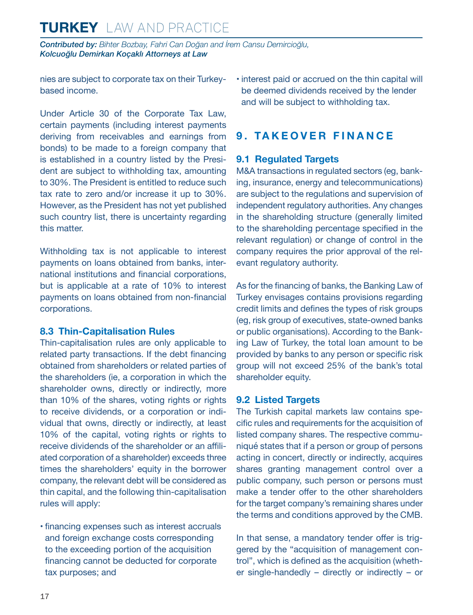<span id="page-16-0"></span>*Contributed by: Bihter Bozbay, Fahri Can Doğan and İrem Cansu Demircioğlu, Kolcuoğlu Demirkan Koçaklı Attorneys at Law* 

nies are subject to corporate tax on their Turkeybased income.

Under Article 30 of the Corporate Tax Law, certain payments (including interest payments deriving from receivables and earnings from bonds) to be made to a foreign company that is established in a country listed by the President are subject to withholding tax, amounting to 30%. The President is entitled to reduce such tax rate to zero and/or increase it up to 30%. However, as the President has not yet published such country list, there is uncertainty regarding this matter.

Withholding tax is not applicable to interest payments on loans obtained from banks, international institutions and financial corporations, but is applicable at a rate of 10% to interest payments on loans obtained from non-financial corporations.

#### **8.3 Thin-Capitalisation Rules**

Thin-capitalisation rules are only applicable to related party transactions. If the debt financing obtained from shareholders or related parties of the shareholders (ie, a corporation in which the shareholder owns, directly or indirectly, more than 10% of the shares, voting rights or rights to receive dividends, or a corporation or individual that owns, directly or indirectly, at least 10% of the capital, voting rights or rights to receive dividends of the shareholder or an affiliated corporation of a shareholder) exceeds three times the shareholders' equity in the borrower company, the relevant debt will be considered as thin capital, and the following thin-capitalisation rules will apply:

• financing expenses such as interest accruals and foreign exchange costs corresponding to the exceeding portion of the acquisition financing cannot be deducted for corporate tax purposes; and

• interest paid or accrued on the thin capital will be deemed dividends received by the lender and will be subject to withholding tax.

#### **9. TAKEOVER FINANCE**

#### **9.1 Regulated Targets**

M&A transactions in regulated sectors (eg, banking, insurance, energy and telecommunications) are subject to the regulations and supervision of independent regulatory authorities. Any changes in the shareholding structure (generally limited to the shareholding percentage specified in the relevant regulation) or change of control in the company requires the prior approval of the relevant regulatory authority.

As for the financing of banks, the Banking Law of Turkey envisages contains provisions regarding credit limits and defines the types of risk groups (eg, risk group of executives, state-owned banks or public organisations). According to the Banking Law of Turkey, the total loan amount to be provided by banks to any person or specific risk group will not exceed 25% of the bank's total shareholder equity.

#### **9.2 Listed Targets**

The Turkish capital markets law contains specific rules and requirements for the acquisition of listed company shares. The respective communiqué states that if a person or group of persons acting in concert, directly or indirectly, acquires shares granting management control over a public company, such person or persons must make a tender offer to the other shareholders for the target company's remaining shares under the terms and conditions approved by the CMB.

In that sense, a mandatory tender offer is triggered by the "acquisition of management control", which is defined as the acquisition (whether single-handedly – directly or indirectly – or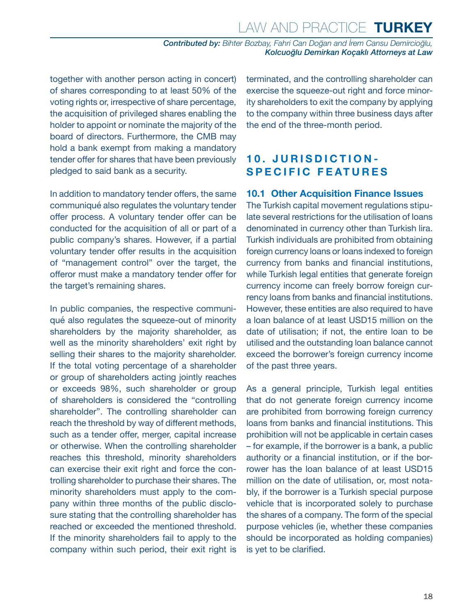<span id="page-17-0"></span>together with another person acting in concert) of shares corresponding to at least 50% of the voting rights or, irrespective of share percentage, the acquisition of privileged shares enabling the holder to appoint or nominate the majority of the board of directors. Furthermore, the CMB may hold a bank exempt from making a mandatory tender offer for shares that have been previously pledged to said bank as a security.

In addition to mandatory tender offers, the same communiqué also regulates the voluntary tender offer process. A voluntary tender offer can be conducted for the acquisition of all or part of a public company's shares. However, if a partial voluntary tender offer results in the acquisition of "management control" over the target, the offeror must make a mandatory tender offer for the target's remaining shares.

In public companies, the respective communiqué also regulates the squeeze-out of minority shareholders by the majority shareholder, as well as the minority shareholders' exit right by selling their shares to the majority shareholder. If the total voting percentage of a shareholder or group of shareholders acting jointly reaches or exceeds 98%, such shareholder or group of shareholders is considered the "controlling shareholder". The controlling shareholder can reach the threshold by way of different methods, such as a tender offer, merger, capital increase or otherwise. When the controlling shareholder reaches this threshold, minority shareholders can exercise their exit right and force the controlling shareholder to purchase their shares. The minority shareholders must apply to the company within three months of the public disclosure stating that the controlling shareholder has reached or exceeded the mentioned threshold. If the minority shareholders fail to apply to the company within such period, their exit right is terminated, and the controlling shareholder can exercise the squeeze-out right and force minority shareholders to exit the company by applying to the company within three business days after the end of the three-month period.

#### **10. JURISDICTION-SPECIFIC FEATURES**

#### **10.1 Other Acquisition Finance Issues**

The Turkish capital movement regulations stipulate several restrictions for the utilisation of loans denominated in currency other than Turkish lira. Turkish individuals are prohibited from obtaining foreign currency loans or loans indexed to foreign currency from banks and financial institutions, while Turkish legal entities that generate foreign currency income can freely borrow foreign currency loans from banks and financial institutions. However, these entities are also required to have a loan balance of at least USD15 million on the date of utilisation; if not, the entire loan to be utilised and the outstanding loan balance cannot exceed the borrower's foreign currency income of the past three years.

As a general principle, Turkish legal entities that do not generate foreign currency income are prohibited from borrowing foreign currency loans from banks and financial institutions. This prohibition will not be applicable in certain cases – for example, if the borrower is a bank, a public authority or a financial institution, or if the borrower has the loan balance of at least USD15 million on the date of utilisation, or, most notably, if the borrower is a Turkish special purpose vehicle that is incorporated solely to purchase the shares of a company. The form of the special purpose vehicles (ie, whether these companies should be incorporated as holding companies) is yet to be clarified.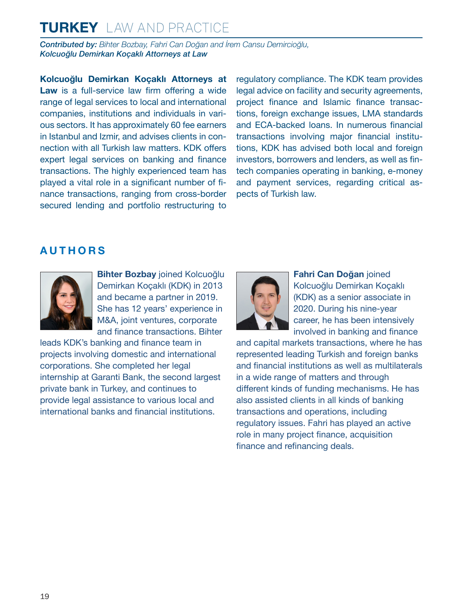*Contributed by: Bihter Bozbay, Fahri Can Doğan and İrem Cansu Demircioğlu, Kolcuoğlu Demirkan Koçaklı Attorneys at Law* 

**Kolcuoğlu Demirkan Koçaklı Attorneys at Law** is a full-service law firm offering a wide range of legal services to local and international companies, institutions and individuals in various sectors. It has approximately 60 fee earners in Istanbul and Izmir, and advises clients in connection with all Turkish law matters. KDK offers expert legal services on banking and finance transactions. The highly experienced team has played a vital role in a significant number of finance transactions, ranging from cross-border secured lending and portfolio restructuring to regulatory compliance. The KDK team provides legal advice on facility and security agreements, project finance and Islamic finance transactions, foreign exchange issues, LMA standards and ECA-backed loans. In numerous financial transactions involving major financial institutions, KDK has advised both local and foreign investors, borrowers and lenders, as well as fintech companies operating in banking, e-money and payment services, regarding critical aspects of Turkish law.

#### <span id="page-18-0"></span>**AUTHORS**



**Bihter Bozbay** joined Kolcuoğlu Demirkan Koçaklı (KDK) in 2013 and became a partner in 2019. She has 12 years' experience in M&A, joint ventures, corporate and finance transactions. Bihter

leads KDK's banking and finance team in projects involving domestic and international corporations. She completed her legal internship at Garanti Bank, the second largest private bank in Turkey, and continues to provide legal assistance to various local and international banks and financial institutions.



**Fahri Can Doğan** joined Kolcuoğlu Demirkan Koçaklı (KDK) as a senior associate in 2020. During his nine-year career, he has been intensively involved in banking and finance

and capital markets transactions, where he has represented leading Turkish and foreign banks and financial institutions as well as multilaterals in a wide range of matters and through different kinds of funding mechanisms. He has also assisted clients in all kinds of banking transactions and operations, including regulatory issues. Fahri has played an active role in many project finance, acquisition finance and refinancing deals.